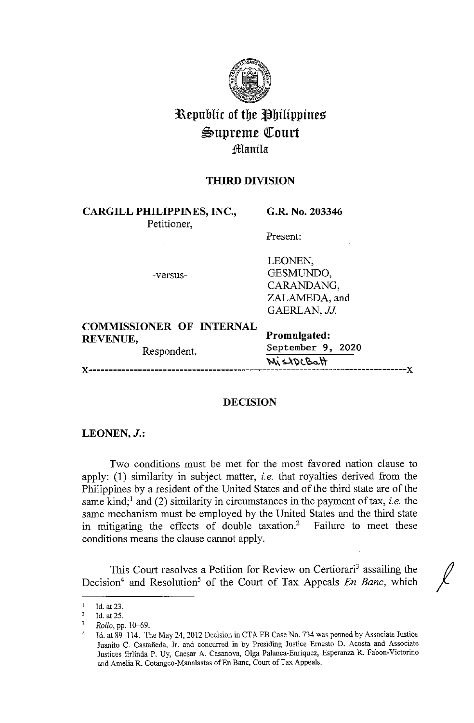

# **Republic of the Philippines**  $\mathfrak{S}$ upreme Court **;ffianila**

## **THIRD DIVISION**

**CARGILL PHILIPPINES, INC.,**  Petitioner,

**G.R. No. 203346** 

Present:

-versus-

LEONEN, GESMUNDO, CARANDANG, ZALAMEDA, and GAERLAN, *JJ*.

## **COMMISSIONER OF INTERNAL REVENUE,**

Respondent.

**Promulgated: September 9, 2020 ~i. ~'yt.~o.\\**  x-----------------------------------------------------------------------------x

## **DECISION**

## **LEONEN,J.:**

Two conditions must be met for the most favored nation clause to apply: (1) similarity in subject matter, *i.e.* that royalties derived from the Philippines by a resident of the United States and of the third state are of the same kind;<sup>1</sup> and (2) similarity in circumstances in the payment of tax, *i.e.* the same mechanism must be employed by the United States and the third state in mitigating the effects of double taxation.<sup>2</sup> Failure to meet these conditions means the clause cannot apply.

This Court resolves a Petition for Review on Certiorari<sup>3</sup> assailing the Decision<sup>4</sup> and Resolution<sup>5</sup> of the Court of Tax Appeals *En Banc*, which

<sup>&</sup>lt;sup>1</sup> Id. at 23.

<sup>2</sup>**Id. at 25.** 

<sup>&</sup>lt;sup>3</sup> Rollo, pp. 10–69.

<sup>4</sup> Id. at 89-114. The May 24, 2012 Decision in CTA EB Case No. 734 was penned by Associate Justice Juanita C. Castaneda, Jr. and concurred in by Presiding Justice Ernesto D. Acosta and Associate Justices Erlinda P. Uy, Caesar A. Casanova, Olga Palanca-Emiquez, Esperanza R. Pabon-Victorino and Amelia R. Cotangco-Manalastas of En Banc, Court of Tax Appeals.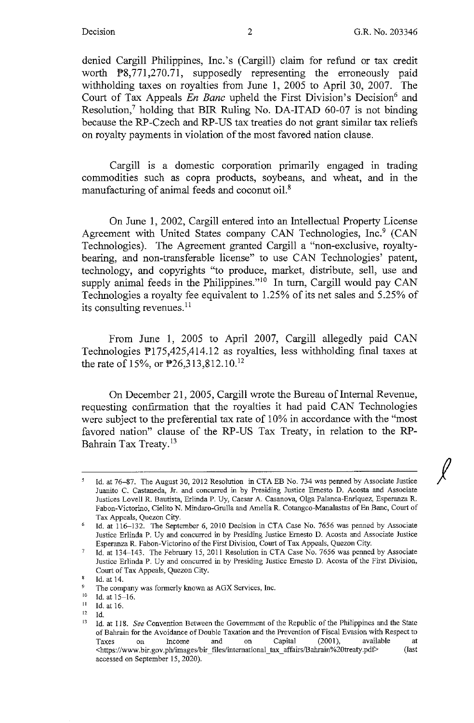*I* 

denied Cargill Philippines, Inc.'s (Cargill) claim for refund or tax credit worth **P**8,771,270.71, supposedly representing the erroneously paid withholding taxes on royalties from June 1, 2005 to April 30, 2007. The Court of Tax Appeals *En Banc* upheld the First Division's Decision<sup>6</sup> and Resolution,7 holding that **BIR** Ruling No. DA-ITAD 60-07 is not binding because the RP-Czech and RP-US tax treaties do not grant similar tax reliefs on royalty payments in violation of the most favored nation clause.

Cargill is a domestic corporation primarily engaged in trading commodities such as copra products, soybeans, and wheat, and in the manufacturing of animal feeds and coconut oil.<sup>8</sup>

On June **1,** 2002, Cargill entered into an Intellectual Property License Agreement with United States company CAN Technologies, Inc.<sup>9</sup> (CAN Technologies). The Agreement granted Cargill a "non-exclusive, royaltybearing, and non-transferable license" to use CAN Technologies' patent, technology, and copyrights "to produce, market, distribute, sell, use and supply animal feeds in the Philippines."<sup>10</sup> In turn, Cargill would pay CAN Technologies a royalty fee equivalent to 1.25% of its net sales and 5.25% of its consulting revenues.<sup>11</sup>

From June 1, 2005 to April 2007, Cargill allegedly paid CAN Technologies Pl 75,425,414.12 as royalties, less withholding final taxes at the rate of 15%, or  $\overline{P}26,313,812.10$ .<sup>12</sup>

On December 21, 2005, Cargill wrote the Bureau of Internal Revenue, requesting confirmation that the royalties it had paid CAN Technologies were subject to the preferential tax rate of 10% in accordance with the "most favored nation" clause of the RP-US Tax Treaty, in relation to the RP-Bahrain Tax Treaty.<sup>13</sup>

Id. at 76-87. The August 30, 2012 Resolution in CTA EB No. 734 was penned by Associate Justice Juanito C. Castaneda, Jr. and concurred in by Presiding Justice Ernesto D. Acosta and Associate Justices Lovell R. Bautista, Erlinda P. Uy, Caesar A. Casanova, Olga Palanca-Enriquez, Esperanza R. Fabon-Victorino, Cielito N. Mindaro-Grulla and Amelia R. Cotangco-Manalastas of En Banc, Court of Tax Appeals, Quezon City.

<sup>6</sup>  Id. at 116-132. The September 6, 2010 Decision in CTA Case No. 7656 was penned by Associate Justice Erlinda P. Uy and concurred in by Presiding Justice Ernesto D. Acosta and Associate Justice Esperanza R. Pabon-Victorino of the First Division, Court of Tax Appeals, Quezon City.

<sup>7</sup>  Id. at 134-143. The February 15, 2011 Resolution in CTA Case No. 7656 was penned by Associate Justice Erlinda P. Uy and concurred in by Presiding Justice Ernesto D. Acosta of the First Division, Court of Tax Appeals, Quezon City.

 $\mathbf{s}$ Id. at 14.

 $\mathbf{9}$ The company was formerly known as AGX Services, Inc.

<sup>&</sup>lt;sup>10</sup> Id. at  $15-16$ .<br>
<sup>11</sup> Id. at 16.<br>
<sup>12</sup> Id.

 $\mathbf{I}$ d.

<sup>&</sup>lt;sup>13</sup> Id. at 118. See Convention Between the Government of the Republic of the Philippines and the State of Bahrain for the Avoidance of Double Taxation and the Prevention of Fiscal Evasion with Respect to Taxes on Income and on Capital (2001), available at <https://www.bir.gov.ph/images/bir\_files/international\_tax\_affairs/Bahrain%20treaty.pdf> (last accessed on September 15, 2020).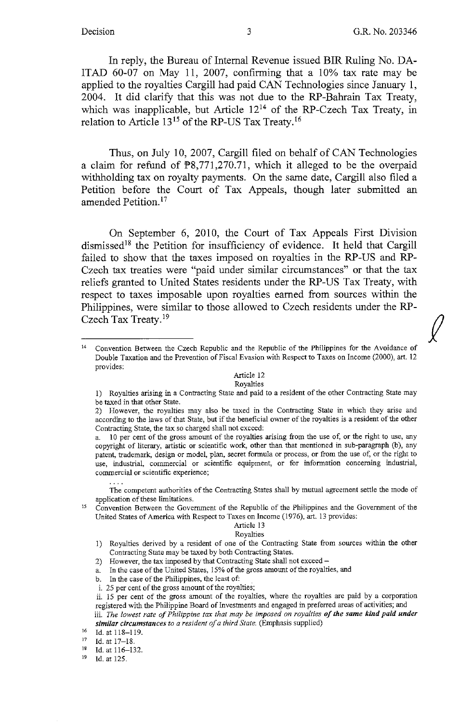In reply, the Bureau of Internal Revenue issued BIR Ruling No. DA-ITAD 60-07 on May 11, 2007, confirming that a 10% tax rate may be applied to the royalties Cargill had paid CAN Technologies since January 1, 2004. It did clarify that this was not due to the RP-Bahrain Tax Treaty, which was inapplicable, but Article  $12^{14}$  of the RP-Czech Tax Treaty, in relation to Article  $13^{15}$  of the RP-US Tax Treaty.<sup>16</sup>

Thus, on July 10, 2007, Cargill filed on behalf of CAN Technologies a claim for refund of  $\mathbb{P}8,771,270.71$ , which it alleged to be the overpaid withholding tax on royalty payments. On the same date, Cargill also filed a Petition before the Court of Tax Appeals, though later submitted an amended Petition. <sup>17</sup>

**On September 6, 2010,** the **Court of Tax Appeals** First **Division dismissed<sup>18</sup>the** Petition for insufficiency **of evidence.** It **held that Cargill failed to show** that **the taxes imposed** on **royalties in the RP-US and RP-Czech tax treaties were "paid under similar circumstances" or that the tax reliefs granted to** United **States residents under** the **RP-US Tax Treaty, with respect** to **taxes imposable upon royalties earned from sources** within the Philippines, **were similar to** those **allowed** to **Czech residents under the RP-Czech Tax Treaty. <sup>19</sup>**

### Article 12

### Royalties

- 1) Royalties arising in a Contracting State and paid to a resident of the other Contracting State may be taxed in that other State.
- 2) However, the royalties may also be taxed in the Contracting State in which they arise and according to the laws of that State, but if the beneficial owner of the royalties is a resident of the other Contracting State, the tax so charged shall not exceed:

a. 10 per cent of the gross amount of the royalties arising from the use of, or the rigbt to use, any copyright of literary, artistic or scientific work, other than that mentioned in sub-paragraph (b), any **patent, trademark, design or model, plan, secret formula or process, or from the use of, or the right to use, industrial, commercial or scientific equipment, or for information concerning industrial, commercial or scientific experience;** 

The competent authorities of the Contracting States shall by mutual agreement settle the mode of **application of these limitations.** 

Convention Between the Government of the Republic of the Philippines and the Government of the United States of America with Respect to Taxes on Income (1976), art. 13 provides:

#### Article 13 Royalties

- I) Royalties derived by a resident of one of the Contracting State from sources within the other Contracting State may be taxed by both Contracting States.
- 2) However, the tax imposed by that Contracting State shall not exceed -
- a. In the case of the United States, 15% of the gross amount of the royalties, and
- b. In the case of the Philippines, the least of:
- i. 25 per cent of the gross amount of the royalties;
- ii. 15 per cent of the gross amount of the royalties, where the royalties are paid by a corporation registered with the Philippine Board of Investments and engaged in preferred areas of activities; and
- iii. The lowest rate of Philippine tax that may be imposed on royalties of the same kind paid under *similar circumstances to a resident of a third State.* (Emphasis supplied) Id. at 118–119.
- 

<sup>17</sup> Id. at 17-18.<br><sup>18</sup> Id. at 116-132.

Id. at 125.

<sup>14</sup> Convention Between the Czech Republic and the Republic of the Philippines for the Avoidance of Double Taxation and the Prevention of Fiscal Evasion with Respect to Taxes on Income (2000), art. 12 provides: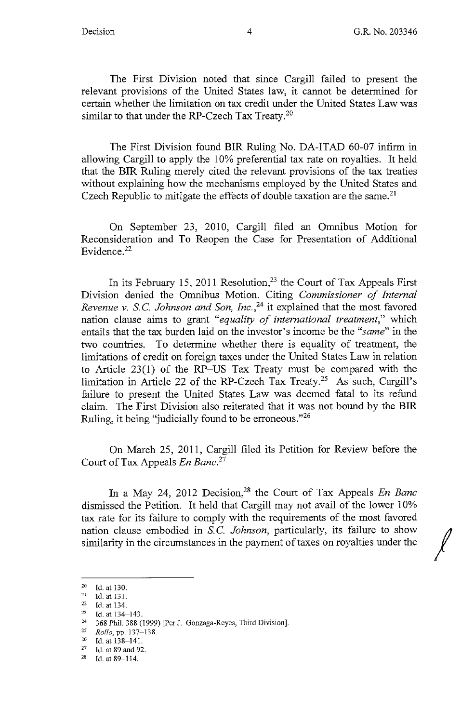The First Division noted that since Cargill failed to present the relevant provisions of the United States law, it cannot be determined for certain whether the limitation on tax credit under the United States Law was similar to that under the RP-Czech Tax Treaty.<sup>20</sup>

The First Division found BIR Ruling No. DA-ITAD 60-07 infirm in allowing Cargill to apply the 10% preferential tax rate on royalties. It held that the BIR Ruling merely cited the relevant provisions of the tax treaties without explaining how the mechanisms employed by the United States and Czech Republic to mitigate the effects of double taxation are the same.<sup>21</sup>

On September 23, 2010, Cargill filed an Omnibus Motion for Reconsideration and To Reopen the Case for Presentation of Additional Evidence. 22

In its February 15, 2011 Resolution,<sup>23</sup> the Court of Tax Appeals First Division denied the Omnibus Motion. Citing *Commissioner of Internal Revenue v. S.C. Johnson and Son, Inc.*<sup>24</sup> it explained that the most favored nation clause aims to grant *"equality of international treatment,"* which entails that the tax burden laid on the investor's income be the *"same"* in the two countries. To determine whether there is equality of treatment, the limitations of credit on foreign taxes under the United States Law in relation to Article 23(1) of the RP-US Tax Treaty must be compared with the limitation in Article 22 of the RP-Czech Tax Treaty.25 As such, Cargill's failure to present the United States Law was deemed fatal to its refund claim. The First Division also reiterated that it was not bound by the BIR Ruling, it being "judicially found to be erroneous."<sup>26</sup>

On March 25, 2011, Cargill filed its Petition for Review before the Court of Tax Appeals *En Banc.<sup>27</sup>*

In a May 24, 2012 Decision,<sup>28</sup> the Court of Tax Appeals *En Banc* dismissed the Petition. It held that Cargill may not avail of the lower 10% tax rate for its failure to comply with the requirements of the most favored similarity in the circumstances in the payment of taxes on royalties under the nation clause embodied in S.C. Johnson, particularly, its failure to show

<sup>&</sup>lt;sup>20</sup> Id. at 130.<br><sup>21</sup> Id. at 131.<br><sup>22</sup> Id. at 134.

<sup>23</sup> Id. at 134-143.

<sup>24</sup> 368 Phil. 388 (1999) [Per J. Gonzaga-Reyes, Third Division].

<sup>25</sup>*Rollo,* pp. 137-138. 26 Id. at 138-141. 27 Id. at 89 and 92.

<sup>28</sup> Id. at 89-114.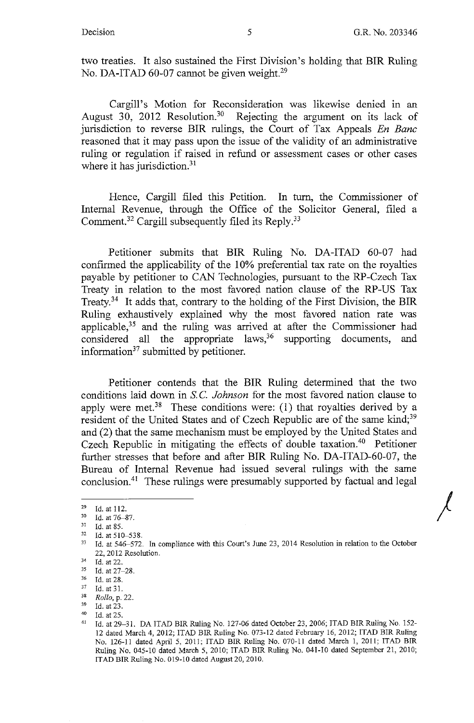*)* 

two treaties. It also sustained the First Division's holding that BIR Ruling No. DA-ITAD 60-07 cannot be given weight.<sup>29</sup>

Cargill's Motion for Reconsideration was likewise denied in an August 30, 2012 Resolution.<sup>30</sup> Rejecting the argument on its lack of jurisdiction to reverse **BIR** rulings, the Court of Tax Appeals *En Banc*  reasoned that it may pass upon the issue of the validity of an administrative ruling or regulation if raised in refund or assessment cases or other cases where it has jurisdiction.<sup>31</sup>

Hence, Cargill filed this Petition. In turn, the Commissioner of Internal Revenue, through the Office of the Solicitor General, filed a Comment.<sup>32</sup> Cargill subsequently filed its Reply.<sup>33</sup>

Petitioner submits that BIR Ruling No. DA-ITAD 60-07 had confirmed the applicability of the 10% preferential tax rate on the royalties payable by petitioner to CAN Technologies, pursuant to the RP-Czech Tax Treaty in relation to the most favored nation clause of the RP-US Tax Treaty.<sup>34</sup> It adds that, contrary to the holding of the First Division, the BIR Ruling exhaustively explained why the most favored nation rate was applicable,35 and the ruling was arrived at after the Commissioner had considered all the appropriate laws,  $36$  supporting documents, and information<sup>37</sup> submitted by petitioner.

Petitioner contends that the **BIR** Ruling determined that the two conditions laid down in S.C. *Johnson* for the most favored nation clause to apply were met.<sup>38</sup> These conditions were: (1) that royalties derived by a resident of the United States and of Czech Republic are of the same kind;<sup>39</sup> and (2) that the same mechanism must be employed by the United States and Czech Republic in mitigating the effects of double taxation.<sup>40</sup> Petitioner further stresses that before and after BIR Ruling No. DA-ITAD-60-07, the Bureau of Internal Revenue had issued several rulings with the same conclusion.41 These rulings were presumably supported by factual and legal

<sup>&</sup>lt;sup>29</sup> Id. at 112.<br><sup>30</sup> Id. at 76–87.<br><sup>31</sup> Id. at 85.

 $32$  Id. at 510-538.<br>33 Id. at 546-572. In compliance with this Court's June 23, 2014 Resolution in relation to the October 22, 2012 Resolution.<br>
<sup>34</sup> Id. at 22.<br>
<sup>35</sup> Id. at 27. 28

 $^{35}$  Id. at 27–28.<br>  $^{36}$  Id. at 28.<br>  $^{37}$  Id. at 31.<br>  $^{38}$  Rollo n 22

<sup>&</sup>lt;sup>38</sup> *Rollo, p.* 22.<br><sup>39</sup> Id. at 23.<br><sup>40</sup> Id. at 25.<br><sup>41</sup> Id. at 29–31. DA ITAD BIR Ruling No. 127-06 dated October 23, 2006; ITAD BIR Ruling No. 152-12 dated March 4, 2012; !TAD BIR Ruling No. 073-12 dated February 16, 2012; !TAD BIR Ruling No. 126-11 dated April 5, 2011; !TAD BIR Ruling No. 070-11 dated March I, 2011; !TAD BIR Ruling No. 045-10 dated March 5, 2010; !TAD BIR Ruling No. 041-10 dated September 21, 2010; !TAD BIR Ruling No. 019-10 dated August 20, 2010.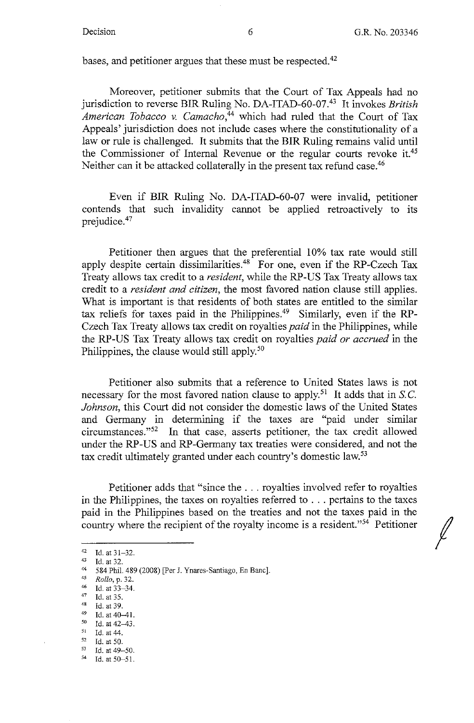*I* 

bases, and petitioner argues that these must be respected.<sup>42</sup>

Moreover, petitioner submits that the Court of Tax Appeals had no jurisdiction to reverse **BIR** Ruling No. DA-ITAD-60-07.43 It invokes *British American Tobacco v. Camacho,44* which had ruled that the Court of Tax Appeals' jurisdiction does not include cases where the constitutionality of a law or rule is challenged. It submits that the **BIR** Ruling remains valid until the Commissioner of Internal Revenue or the regular courts revoke it.45 Neither can it be attacked collaterally in the present tax refund case.<sup>46</sup>

Even if BIR Ruling No. DA-ITAD-60-07 were invalid, petitioner contends that such invalidity cannot be applied retroactively to its prejudice.47

Petitioner then argues that the preferential 10% tax rate would still apply despite certain dissimilarities.<sup>48</sup> For one, even if the RP-Czech Tax Treaty allows tax credit to a *resident,* while the RP-US Tax Treaty allows tax credit to a *resident and citizen,* the most favored nation clause still applies. What is important is that residents of both states are entitled to the similar tax reliefs for taxes paid in the Philippines.<sup>49</sup> Similarly, even if the RP-Czech Tax Treaty allows tax credit on royalties *paid* in the Philippines, while the RP-US Tax Treaty allows tax credit on royalties *paid or accrued* in the Philippines, the clause would still apply.<sup>50</sup>

Petitioner also submits that a reference to United States laws is not necessary for the most favored nation clause to apply.<sup>51</sup> It adds that in S.C. *Johnson,* this Court did not consider the domestic laws of the United States and Germany in determining if the taxes are "paid under similar circumstances."52 In that case, asserts petitioner, the tax credit allowed under the RP-US and RP-Germany tax treaties were considered, and not the tax credit ultimately granted under each country's domestic law.<sup>53</sup>

Petitioner adds that "since the ... royalties involved refer to royalties in the Philippines, the taxes on royalties referred to ... pertains to the taxes paid in the Philippines based on the treaties and not the taxes paid in the country where the recipient of the royalty income is a resident."54 Petitioner

- 
- 
- 47 Id. at 35.<br>
48 Id. at 39.<br>
49 Id. at 40-41.<br>
50 Id. at 42. 43.
- *50* Id. at 42-43. 51 Id. at 44.
- 
- $\frac{52}{53}$  Id. at 50. Id. at 49-50.

<sup>42</sup> Id. at  $31-32$ .<br>
43 Id. at  $32$ .<br>
44 SRA Phil ARC

<sup>44</sup> 584 Phil. 489 (2008) [Per J. Ynares-Santiago, En Banc].

<sup>45</sup>*Rollo,* p. 32. 46 **Id. at 33~34.** 

 $54$  Id. at  $50 - 51$ .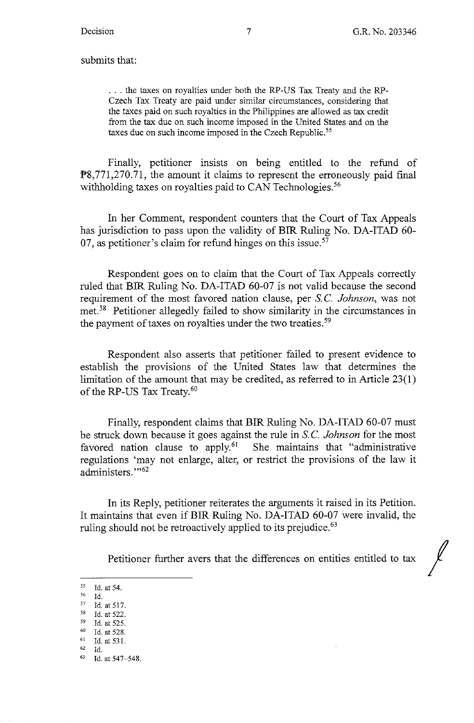submits that:

... the taxes on royalties under both the RP-US Tax Treaty and the RP-Czech Tax Treaty are paid under similar circumstances, considering that the taxes paid on such royalties in the Philippines are allowed as tax credit from the tax due on such income imposed in the United States and on the taxes due on such income imposed in the Czech Republic.<sup>55</sup>

Finally, petitioner insists on being entitled to the refund of PS,771,270.71, the amount it claims to represent the erroneously paid final withholding taxes on royalties paid to CAN Technologies.<sup>56</sup>

In her Comment, respondent counters that the Court of Tax Appeals has jurisdiction to pass upon the validity of BIR Ruling No. DA-ITAD 60- 07, as petitioner's claim for refund hinges on this issue. $57$ 

Respondent goes on to claim that the Court of Tax Appeals correctly ruled that BIR Ruling No. DA-ITAD 60-07 is not valid because the second requirement of the most favored nation clause, per S.C. *Johnson*, was not met. 58 Petitioner allegedly failed to show similarity in the circumstances in the payment of taxes on royalties under the two treaties.<sup>59</sup>

Respondent also asserts that petitioner failed to present evidence to establish the provisions of the United States law that determines the limitation of the amount that may be credited, as referred to in Article 23(1) of the RP-US Tax Treaty.<sup>60</sup>

Finally, respondent claims that BIR Ruling No. DA-ITAD 60-07 must be struck down because it goes against the rule in S. C. *Johnson* for the most favored nation clause to apply.<sup>61</sup> She maintains that "administrative regulations 'may not enlarge, alter, or restrict the provisions of the law it administers."<sup>52</sup>

In its Reply, petitioner reiterates the arguments it raised in its Petition. It maintains that even if BIR Ruling No. DA-ITAD 60-07 were invalid, the ruling should not be retroactively applied to its prejudice.<sup>63</sup>

Petitioner further avers that the differences on entities entitled to tax

*<sup>55</sup>* Id. at 54.

 $^{56}$  Id.<br>  $^{57}$  Id. at 517.<br>  $^{58}$  Id. at 522.

 $^{59}$  Id. at 525.<br><sup>60</sup> Id. at 528.

 $^{61}$  Id. at 531.<br> $^{62}$  Id.

<sup>62</sup> Id. 63 Id. at 547-548.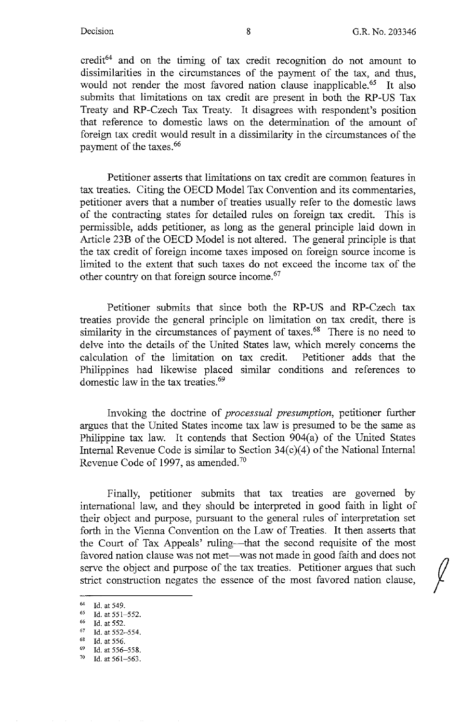credit<sup>64</sup> and on the timing of tax credit recognition do not amount to dissimilarities in the circumstances of the payment of the tax, and thus, would not render the most favored nation clause inapplicable.<sup>65</sup> It also submits that limitations on tax credit are present in both the **RP-US** Tax Treaty and RP-Czech Tax Treaty. It disagrees with respondent's position that reference to domestic laws on the determination of the amount of foreign tax credit would result in a dissimilarity in the circumstances of the payment of the taxes.<sup>66</sup>

Petitioner asserts that limitations on tax credit are common features in tax treaties. Citing the OECD Model Tax Convention and its commentaries, petitioner avers that a number of treaties usually refer to the domestic laws of the contracting states for detailed rules on foreign tax credit. This is permissible, adds petitioner, as long as the general principle laid down in Article 23B of the OECD Model is not altered. The general principle is that the tax credit of foreign income taxes imposed on foreign source income is limited to the extent that such taxes do not exceed the income tax of the other country on that foreign source income.<sup>67</sup>

Petitioner submits that since both the RP-US and RP-Czech tax treaties provide the general principle on limitation on tax credit, there is similarity in the circumstances of payment of taxes.<sup>68</sup> There is no need to delve into the details of the United States law, which merely concerns the calculation of the limitation on tax credit. Petitioner adds that the Philippines had likewise placed similar conditions and references to domestic law in the tax treaties.<sup>69</sup>

Invoking the doctrine of *processual presumption,* petitioner further argues that the United States income tax law is presumed to be the same as Philippine tax law. It contends that Section 904(a) of the United States Internal Revenue Code is similar to Section 34(c)(4) of the National Internal Revenue Code of 1997, as amended.70

Finally, petitioner submits that tax treaties are governed by international law, and they should be interpreted in good faith in light of their object and purpose, pursuant to the general rules of interpretation set forth in the Vienna Convention on the Law of Treaties. It then asserts that the Court of Tax Appeals' ruling—that the second requisite of the most favored nation clause was not met—was not made in good faith and does not serve the object and purpose of the tax treaties. Petitioner argues that such strict construction negates the essence of the most favored nation clause,

- Id. at 552-554. 68 Id. at 556.
- 

<sup>64</sup> Id. at 549.<br> $65$  Id. at 551-552.

 $^{66}$  Id. at 552.

 $^{69}$  Id. at 556-558.<br>  $^{70}$  Id. at 561-562.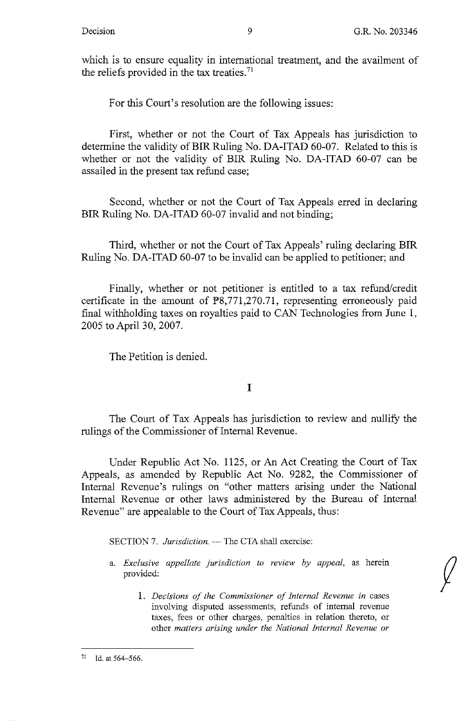which is to ensure equality in international treatment, and the availment of the reliefs provided in the tax treaties. 71

For this Court's resolution are the following issues:

First, whether or not the Court of Tax Appeals has jurisdiction to determine the validity of BIR Ruling No. DA-ITAD 60-07. Related to this is whether or not the validity of BIR Ruling No. DA-ITAD 60-07 can be assailed in the present tax refund case;

Second, whether or not the Court of Tax Appeals erred in declaring BIR Ruling No. DA-ITAD 60-07 invalid and not binding;

Third, whether or not the Court of Tax Appeals' ruling declaring BIR Ruling No. DA-ITAD 60-07 to be invalid can be applied to petitioner; and

Finally, whether or not petitioner is entitled to a tax refund/credit certificate in the amount of PS,771,270.71, representing erroneously paid final withholding taxes on royalties paid to CAN Technologies from June 1, 2005 to April 30, 2007.

The Petition is denied.

I

The Court of Tax Appeals has jurisdiction to review and nullify the rulings of the Commissioner of Internal Revenue.

Under Republic Act No. 1125, or An Act Creating the Court of Tax Appeals, as amended by Republic Act No. 9282, the Commissioner of Internal Revenue's rulings on "other matters arising under the National Internal Revenue or other laws administered by the Bureau of Internal Revenue" are appealable to the Court of Tax Appeals, thus:

SECTION 7. *Jurisdiction.* - The CTA shall exercise:

- a. *Exclusive appellate jurisdiction to review by appeal,* as herein provided:
	- 1. *Decisions of the Commissioner of Internal Revenue in* cases involving disputed assessments, refunds of internal revenue taxes, fees or other charges, penalties in relation thereto, or other *matters arising under the National Internal Revenue or*

 $71$  Id. at 564-566.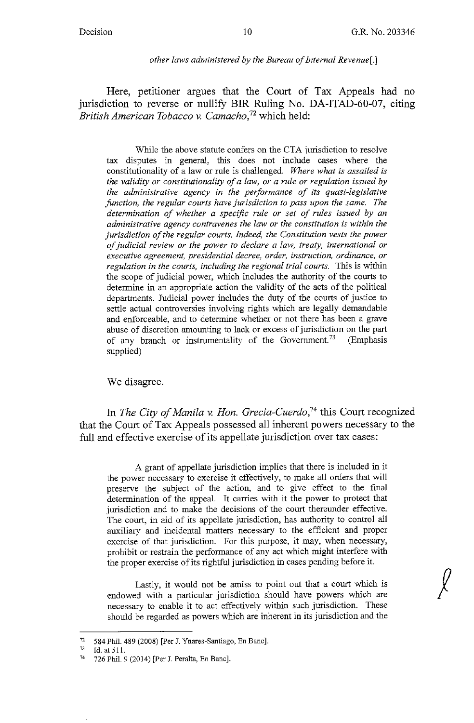### *other laws administered by the Bureau of Internal Revenue[.]*

Here, petitioner argues that the Court of Tax Appeals had no jurisdiction to reverse or nullify BIR Ruling No. DA-ITAD-60-07, citing *British American Tobacco* v. *Camacho,*<sup>72</sup>which held:

While the above statute confers on the CTA jurisdiction to resolve tax disputes in general, this does not include cases where the constitutionality of a law or rule is challenged. *Where what is assailed is the validity or constitutionality of a law, or a rule or regulation issued by the administrative agency in the performance of its quasi-legislative junction, the regular courts have jurisdiction to pass upon the same. The determination of whether a specific rule or set of rules issued by an administrative agency contravenes the law or the constitution is within the jurisdiction of the regular courts. Indeed, the Constitution vests the power of judicial review or the power to declare a law, treaty, international or executive agreement, presidential decree, order, instruction, ordinance, or regulation in the courts, including the regional trial courts.* This is within the scope of judicial power, which includes the authority of the courts to determine in an appropriate action the validity of the acts of the political departments. Judicial power includes the duty of the courts of justice to settle actual controversies involving rights which are legally demandable and enforceable, and to determine whether or not there has been a grave abuse of discretion amounting to lack or excess of jurisdiction on the part of any branch or instrumentality of the Government.<sup>73</sup> (Emphasis supplied)

We disagree.

In *The City of Manila v. Hon. Grecia-Cuerdo,74* this Court recognized that the Court of Tax Appeals possessed all inherent powers necessary to the full and effective exercise of its appellate jurisdiction over tax cases:

A grant of appellate jurisdiction implies that there is included in it the power necessary to exercise it effectively, to make all orders that will preserve the subject of the action, and to give effect to the final determination of the appeal. It carries with it the power to protect that jurisdiction and to make the decisions of the court thereunder effective. The court, in aid of its appellate jurisdiction, has authority to control all auxiliary and incidental matters necessary to the efficient and proper exercise of that jurisdiction. For this purpose, it may, when necessary, prohibit or restrain the performance of any act which might interfere with the proper exercise of its rightful jurisdiction in cases pending before it.

Lastly, it would not be amiss to point out that a court which is endowed with a particular jurisdiction should have powers which are necessary to enable it to act effectively within such jurisdiction. These should be regarded as powers which are inherent in its jurisdiction and the

<sup>72 584</sup> Phil. 489 (2008) [Per J. Ynares-Santiago, En Banc].<br>
73 Id. at 511.<br>
74 726 Phil. 9.(2014) [Per J. Peralta, En Banc].

<sup>74</sup>726 Phil. 9 (2014) [Per J. Peralta, En Banc].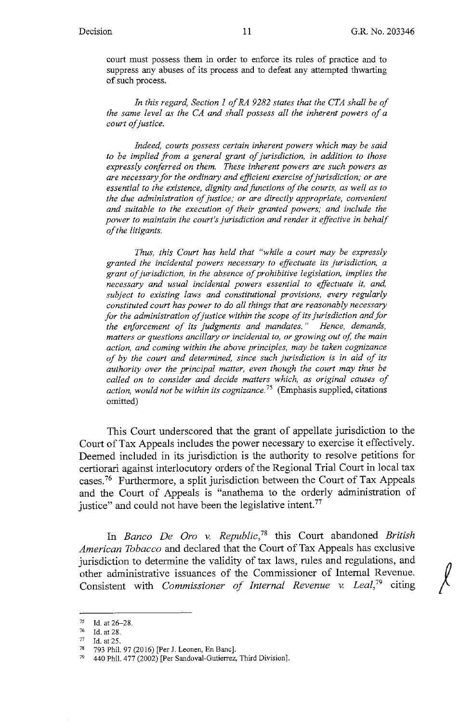court must possess them in order to enforce its rules of practice and to suppress any abuses of its process and to defeat any attempted thwarting of such process.

*In this regard, Section I of RA 9282 states that the CTA shall be of the same level as the CA and shall possess all the inherent powers of a court of justice.* 

*Indeed, courts possess certain inherent powers which may be said to be implied from a general grant of jurisdiction, in addition to those expressly conferred on them. These inherent powers are such powers as are necessary for the ordinary and efficient exercise of jurisdiction; or are essential to the existence, dignity and junctions of the courts, as well as to the due administration of justice; or are directly appropriate, convenient and suitable to the execution of their granted powers; and include the power to maintain the court's jurisdiction and render it effective in behalf of the litigants.* 

*Thus, this Court has held that "while a court may be expressly granted the incidental powers necessary to effectuate its jurisdiction, a grant of jurisdiction, in the absence of prohibitive legislation, implies the necessary and usual incidental powers essential to effectuate it, and, subject to existing laws and constitutional provisions, every regularly constituted court has power to do all things that are reasonably necessary for the administration of justice within the scope of its jurisdiction and for the enforcement of its judgments and mandates.* " *Hence, demands, matters or questions ancillary or incidental to, or growing out of, the main action, and coming within the above principles, may be taken cognizance of by the court and determined, since such jurisdiction* is *in aid of its authority over the principal matter, even though the court may thus be called on to consider and decide matters which, as original causes of action, would not be within its cognizance.* 75 (Emphasis supplied, citations omitted)

This Court underscored that the grant of appellate jurisdiction to the Court of Tax Appeals includes the power necessary to exercise it effectively. Deemed included in its jurisdiction is the authority to resolve petitions for certiorari against interlocutory orders of the Regional Trial Court in local tax cases. 76 Furthermore, a split jurisdiction between the Court of Tax Appeals and the Court of Appeals is "anathema to the orderly administration of justice" and could not have been the legislative intent.<sup>77</sup>

In *Banco De Oro v. Republic*,<sup>78</sup> this Court abandoned *British American Tobacco* and declared that the Court of Tax Appeals has exclusive jurisdiction to determine the validity of tax laws, rules and regulations, and other administrative issuances of the Commissioner of Internal Revenue. Consistent with *Commissioner of Internal Revenue v. Leal,79* citing

<sup>75</sup> Id. at 26-28.

 $\frac{76}{77}$  Id. at 28.<br> $\frac{77}{78}$   $\frac{793}{793}$  Phil

<sup>78</sup> 793 Phil. 97 (2016) [Per J. Leonen, En Banc].

<sup>79</sup> 440 Phil. 477 (2002) [Per Sandoval-Gutierrez, Third Division].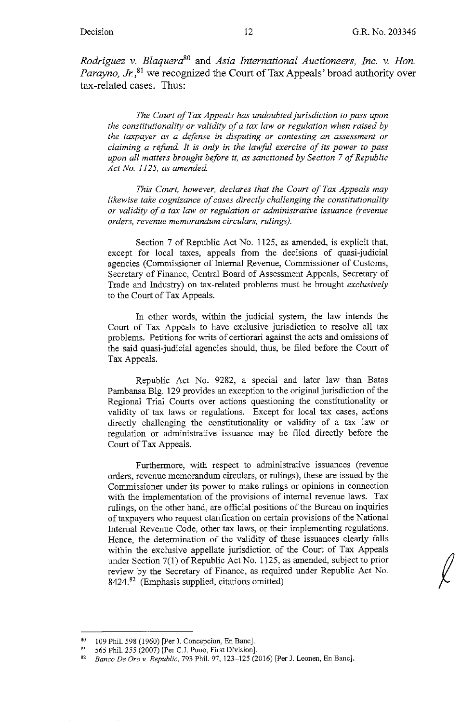*Rodriguez v. Blaquera80* and *Asia International Auctioneers, Inc. v. Hon.*  Parayno, Jr.<sup>81</sup> we recognized the Court of Tax Appeals' broad authority over tax-related cases. Thus:

*The Court of Tax Appeals has undoubted jurisdiction to pass upon the constitutionality or validity of a tax law or regulation when raised by the taxpayer as a defense in disputing or contesting an assessment or claiming a refand. It is only in the lawfal exercise of its power to pass upon all matters brought before it, as sanctioned by Section* 7 *of Republic Act No. 1125, as amended.* 

*This Court, however, declares that the Court of Tax Appeals may likewise take cognizance of cases directly challenging the constitutionality or validity of a tax law or regulation or administrative issuance (revenue orders, revenue memorandum circulars, rulings).* 

Section 7 of Republic Act No. 1125, as amended, is explicit that, except for local taxes, appeals from the decisions of quasi-judicial agencies (Commissioner of Internal Revenue, Commissioner of Customs, Secretary of Finance, Central Board of Assessment Appeals, Secretary of Trade and Industry) on tax-related problems must be brought *exclusively*  to the Court of Tax Appeals.

In other words, within the judicial system, the law intends the Court of Tax Appeals to have exclusive jurisdiction to resolve all tax problems. Petitions for writs of certiorari against the acts and omissions of the said quasi-judicial agencies should, thus, be filed before the Court of Tax Appeals.

Republic Act No. 9282, a special and later law than Batas Pambansa Blg. 129 provides an exception to the original jurisdiction of the Regional Trial Courts over actions questioning the constitutionality or validity of tax laws or regulations. Except for local tax cases, actions directly challenging the constitutionality or validity of a tax law or regulation or administrative issuance may be filed directly before the Court of Tax Appeals.

Furthermore, with respect to administrative issuances (revenue orders, revenue memorandum circulars, or rulings), these are issued by the Commissioner under its power to make rulings or opinions in connection with the implementation of the provisions of internal revenue laws. Tax rulings, on the other hand, are official positions of the Bureau on inquiries of taxpayers who request clarification on certain provisions of the National Internal Revenue Code, other tax laws, or their implementing regulations. Hence, the determination of the validity of these issuances clearly falls within the exclusive appellate jurisdiction of the Court of Tax Appeals under Section 7(1) of Republic Act No. 1125, as amended, subject to prior review by the Secretary of Finance, as required under Republic Act No. 8424.82 (Emphasis supplied, citations omitted)

<sup>80 109</sup> Phil. 598 (1960) [Per J. Concepcion, En Banc]. 81 565 Phil. 255 (2007) [Per C.J. Puno, First Division].

<sup>82</sup> *Banco De Oro v. Republic,* 793 Phil. 97, 123-125 (2016) [Per J. Leonen, En Banc].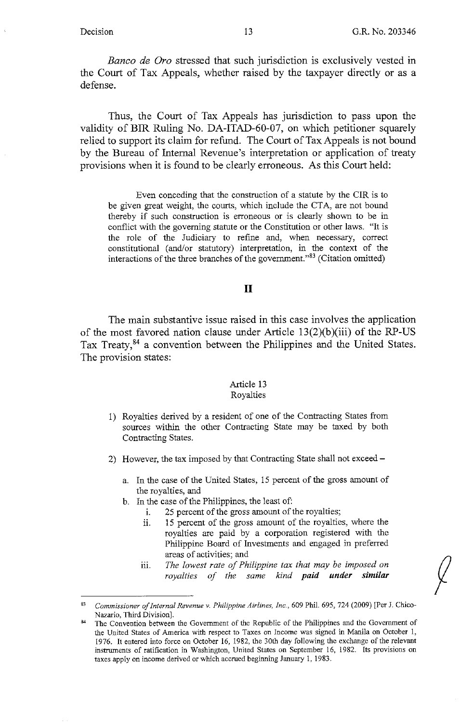*Banco de Oro* stressed that such jurisdiction is exclusively vested in the Court of Tax Appeals, whether raised by the taxpayer directly or as a defense.

Thus, the Court of Tax Appeals has jurisdiction to pass upon the validity of BIR Ruling No. DA-ITAD-60-07, on which petitioner squarely relied to support its claim for refund. The Court of Tax Appeals is not bound by the Bureau of Internal Revenue's interpretation or application of treaty provisions when it is found to be clearly erroneous. As this Court held:

Even conceding that the construction of a statute by the CIR is to be given great weight, the courts, which include the CTA, are not bound thereby if such construction is erroneous or is clearly shown to be in conflict with the governing statute or the Constitution or other laws. "It is the role of the Judiciary to refine and, when necessary, correct constitutional (and/or statutory) interpretation, in the context of the interactions of the three branches of the government."83 (Citation omitted)

## II

The main substantive issue raised in this case involves the application of the most favored nation clause under Article 13(2)(b)(iii) of the RP-US Tax Treaty,<sup>84</sup> a convention between the Philippines and the United States. The provision states:

## Article 13

## Royalties

- 1) Royalties derived by a resident of one of the Contracting States from sources within the other Contracting State may be taxed by both Contracting States.
- 2) However, the tax imposed by that Contracting State shall not exceed
	- a. In the case of the United States, 15 percent of the gross amount of the royalties, and
	- b. In the case of the Philippines, the least of:
		- i. 25 percent of the gross amount of the royalties;
		- 11. 15 percent of the gross amount of the royalties, where the royalties are paid by a corporation registered with the Philippine Board of Investments and engaged in preferred areas of activities; and
		- iii. The lowest rate of Philippine tax that may be imposed on *royalties of the same kind paid under similar*

<sup>83</sup> *Commissioner of Internal Revenue v. Philippine Airlines, Inc.,* 609 Phil. 695, 724 (2009) [Per J. Chico-Nazario, Third Division].

The Convention between the Government of the Republic of the Philippines and the Government of the United States of America with respect to Taxes on Income was signed in Manila on October I, 1976. It entered into force on October 16, 1982, the 30th day following the exchange of the relevant instruments of ratification in Washington, United States on September 16, 1982. Its provisions on taxes apply on income derived or which accrued beginning January I, 1983.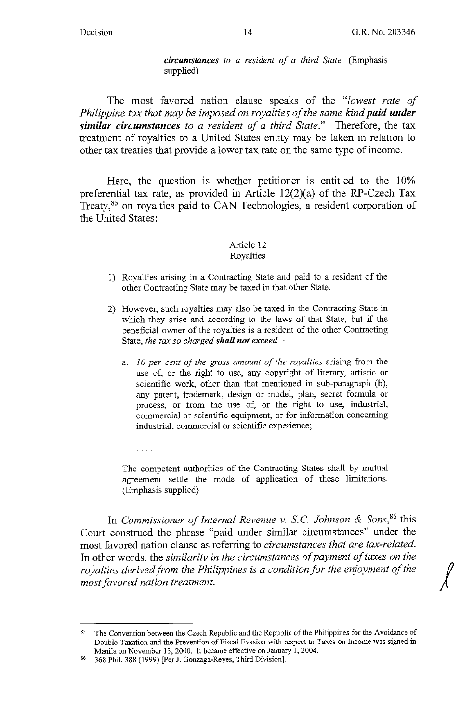*circumstances to a resident of a third State.* (Emphasis supplied)

The most favored nation clause speaks of the *"lowest rate of Philippine tax that may be imposed on royalties of the same kind paid under similar circumstances to a resident of a third State."* Therefore, the tax treatment of royalties to a United States entity may be taken in relation to other tax treaties that provide a lower tax rate on the same type of income.

Here, the question is whether petitioner is entitled to the 10% preferential tax rate, as provided in Article 12(2)(a) of the RP-Czech Tax Treaty,<sup>85</sup> on royalties paid to CAN Technologies, a resident corporation of the United States:

### Article 12 Royalties

- 1) Royalties arising in a Contracting State and paid to a resident of the other Contracting State may be taxed in that other State.
- 2) However, such royalties may also be taxed in the Contracting State in which they arise and according to the laws of that State, but if the beneficial owner of the royalties is a resident of the other Contracting State, the tax so charged shall not exceed
	- a. *10 per cent of the gross amount of the royalties* arising from the use of, or the right to use, any copyright of literary, artistic or scientific work, other than that mentioned in sub-paragraph (b), any patent, trademark, design or model, plan, secret formula or process, or from the use of, or the right to use, industrial, commercial or scientific equipment, or for information concerning industrial, commercial or scientific experience;
		- $\ldots$  .

The competent authorities of the Contracting States shall by mutual agreement settle the mode of application of these limitations. (Emphasis supplied)

In *Commissioner of Internal Revenue v. S.C. Johnson & Sons*,<sup>86</sup> this Court construed the phrase "paid under similar circumstances" under the most favored nation clause as referring to *circumstances that are tax-related.*  In other words, the *similarity in the circumstances of payment of taxes on the*  most favored nation clause as referring to *circumstances that are tax-related.*<br>In other words, the *similarity in the circumstances of payment of taxes on the*<br>royalties derived from the Philippines is a condition for th *most favored nation treatment.* 

The Convention between the Czech Republic and the Republic of the Philippines for the Avoidance of Double Taxation and the Prevention of Fiscal Evasion with respect to Taxes on Income was signed in Manila on November 13, 2000. It became effective on January I, 2004.

<sup>86</sup> 368 Phil. 388 (1999) [Per J. Gonzaga-Reyes, Third Division].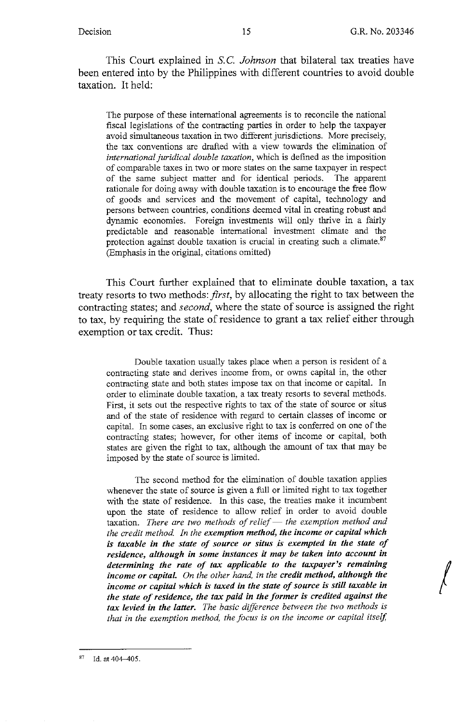This Court explained in S.C. *Johnson* that bilateral tax treaties have been entered into by the Philippines with different countries to avoid double taxation. It held:

The purpose of these international agreements is to reconcile the national fiscal legislations of the contracting parties in order to help the taxpayer avoid simultaneous taxation in two different jurisdictions. More precisely, the tax conventions are drafted with a view towards the elimination of *international juridical double taxation,* which is defined as the imposition of comparable taxes in two or more states on the same taxpayer in respect of the same subject matter and for identical periods. The apparent rationale for doing away with double taxation is to encourage the free flow of goods and services and the movement of capital, technology and persons between countries, conditions deemed vital in creating robust and dynamic economies. Foreign investments will only thrive in a fairly predictable and reasonable international investment climate and the protection against double taxation is crucial in creating such a climate.<sup>87</sup> (Emphasis in the original, citations omitted)

This Court further explained that to eliminate double taxation, a tax treaty resorts to two methods: *first,* by allocating the right to tax between the contracting states; and *second,* where the state of source is assigned the right to tax, by requiring the state of residence to grant a tax relief either through exemption or tax credit. Thus:

Double taxation usually takes place when a person is resident of a contracting state and derives income from, or owns capital in, the other contracting state and both states impose tax on that income or capital. In order to eliminate double taxation, a tax treaty resorts to several methods. First, it sets out the respective rights to tax of the state of source or situs and of the state of residence with regard to certain classes of income or capital. In some cases, an exclusive right to tax is conferred on one of the contracting states; however, for other items of income or capital, both states are given the right to tax, although the amount of tax that may be imposed by the state of source is limited.

The second method for the elimination of double taxation applies whenever the state of source is given a full or limited right to tax together with the state of residence. In this case, the treaties make it incumbent upon the state of residence to allow relief in order to avoid double taxation. There are two methods of relief - the exemption method and *the credit method. In the exemption method, the income or capital which is taxable in the state of source or situs is exempted in the state of residence, although in some instances it may be taken into account in determining the rate of tax applicable to the taxpayer's remaining income or capital. On the other hand, in the credit method, although the income or capital which is taxed in the state of source is still taxable in the state of residence, the tax paid in the former* is *credited against the tax levied in the latter. The basic difference between the two methods is that in the exemption method, the focus is on the income or capital itself,* 

 $87$  Id. at 404-405.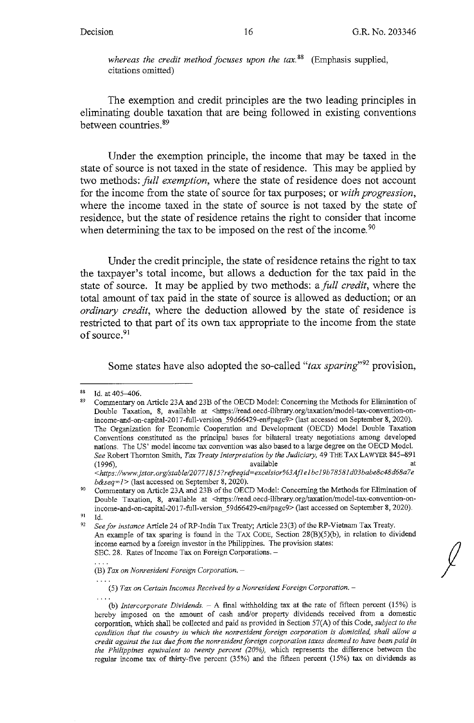whereas the credit method focuses upon the tax.<sup>88</sup> (Emphasis supplied, citations omitted)

The exemption and credit principles are the two leading principles in eliminating double taxation that are being followed in existing conventions between countries. <sup>89</sup>

Under the exemption principle, the income that may be taxed in the state of source is not taxed in the state of residence. This may be applied by two methods: *full exemption,* where the state of residence does not account for the income from the state of source for tax purposes; or *with progression,*  where the income taxed in the state of source is not taxed by the state of residence, but the state of residence retains the right to consider that income when determining the tax to be imposed on the rest of the income.<sup>90</sup>

Under the credit principle, the state of residence retains the right to tax the taxpayer's total income, but allows a deduction for the tax paid in the state of source. It may be applied by two methods: a *full credit,* where the total amount of tax paid in the state of source is allowed as deduction; or an *ordinary credit,* where the deduction allowed by the state of residence is restricted to that part of its own tax appropriate to the income from the state of source.<sup>91</sup>

Some states have also adopted the so-called "tax sparing"<sup>92</sup> provision,

**(5)** *Tax on Certain Incomes Received by a Nonresident Foreign Corporation.* -

 $^{88}$  Id. at 405-406.

<sup>89</sup> Commentary on Article 23A and 23B of the OECD Model: Concerning the Methods for Elimination of Double Taxation, 8, available at <https://read.oecd-ilibrary.org/taxation/model-tax-convention-onincome-and-on-capital-2017-full-version\_59d66429-en#page9> (last accessed on September 8, 2020). The Organization for Economic Cooperation and Development (OECD) Model Double Taxation Conventions constituted as the principal bases for bilateral treaty negotiations among developed nations. The US' model income tax convention was also based to a large degree on the OECD Model. *See* Robert Thornton Smith, *Tax Treaty Interpretation by the Judiciary,* 49 THE TAX LAWYER 845-891 (1996), available at a control of the available at  $\alpha$  and  $\alpha$  at  $\alpha$ available<br>https://www.jstor.org/stable/20771815?refreqid=excelsior%3Af1e1bc19b78581d03babe8c48d68a7e **//** 

*b&seq=1>* (last accessed on September 8, 2020).<br>Commentary on Article 23A and 23B of the OECD Model: Concerning the Methods for Elimination of Double Taxation, 8, available at <https://read.oecd-ilibrary.org/taxation/model-tax-convention-onincome-and-on-capital-2017-full-version\_59d66429-en#page9> (last accessed on September 8, 2020). Id.

<sup>92</sup> See *for instance* Article 24 of RP-India Tax Treaty; Article 23(3) of the RP-Vietnam Tax Treaty. An example of tax sparing is found in the TAX CODE, Section 28(B)(5)(b), in relation to dividend income earned by a foreign investor in the Philippines. The provision states: **SEC. 28. Rates of Income Tax on Foreign Corporations.** -

<sup>(</sup>B) *Tax on Nonresident Foreign Corporation.* -

<sup>(</sup>b) *Intercorporate Dividends.* - A final withholding tax at the rate of fifteen percent (15%) is hereby imposed on the amount of cash and/or property dividends received from a domestic corporation, which shall be collected and paid as provided in Section 57(A) of this Code, *subject to the condition that the country in which the nonresident foreign corporation is domiciled, shall allow a credit against the tax due from the nonresident foreign corporation taxes deemed to have been paid in the Philippines equivalent to twenty percent (20%),* which represents the difference between the regular income tax of thirty-five percent (35%) and the fifteen percent (15%) tax on dividends as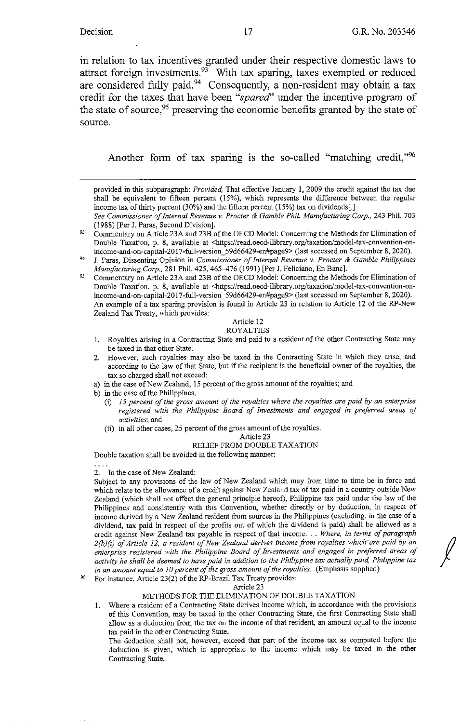*I* 

in relation to tax incentives granted under their respective domestic laws to attract foreign investments.<sup>93</sup> With tax sparing, taxes exempted or reduced are considered fully paid.<sup>94</sup> Consequently, a non-resident may obtain a tax credit for the taxes that have been *"spared'* under the incentive program of the state of source,  $95$  preserving the economic benefits granted by the state of source.

Another form of tax sparing is the so-called "matching credit," $96$ 

*95*  Commentary on Article 23A and 23B of the OECD Model: Concerning the Methods for Elimination of Double Taxation, p. 8, available at <https://read.oecd-ilibrary.org/taxation/model-tax-convention-onincome-and-on-capital-2017-full-version\_59d66429-en#page9> (last accessed on September 8, 2020). An example of a tax sparing provision is found in Article 23 in relation to Article 12 of the RP-New Zealand Tax Treaty, which provides:

## Article 12

## ROYALTIES

- **1. Royalties arising in a Contracting State and paid to a resident of the other Contracting State may**  be taxed in that other State.
- 2. However, such royalties may also be taxed in the Contracting State in which they arise, and according to the law of that State, but if the recipient is the beneficial owner of the royalties, the tax so charged shall not exceed:
- a) in the case of New Zealand, 15 percent of the gross amount of the royalties; and
- b) in the case of the Philippines,
	- **(i)** *15 percent of the gross amount of the royalties where the royalties are paid by an enterprise registered with the Philippine Board of Investments and engaged in preferred areas of activities;* **and**
	- (ii) in all other cases, 25 percent of the gross amount of the royalties.

#### Article 23 RELIEF FROM DOUBLE TAXATION

Double taxation shall be avoided in the following manner:

2. In the case of New Zealand:

Subject to any provisions of the law of New Zealand which may from time to time be in force and which relate to the allowance of a credit against New Zealand tax of tax paid in a country outside New Zealand (which shall not affect the general principle hereof), Philippine tax paid under the law of the Philippines and consistently with this Convention, whether directly or by deduction, in respect of income derived by a New Zealand resident from sources in the Philippines (excluding, in the case of a dividend, tax paid in respect of the profits out of which the dividend is paid) shall be allowed as a credit against New Zealand tax payable in respect of that income ... *Where, in terms of paragraph 2(b)(i) of Article 12, a resident of New Zealand derives income from royalties which·are paid by an enterprise registered with the Philippine Board of Investments and engaged in preferred areas of activity he shall be deemed to have paid in addition to the Philippine tax actually paid, Philippine tax in an amount equal to 10 percent of the gross amount of the royalties.* (Emphasis supplied)

96 For instance, Article 23(2) of the RP-Brazil Tax Treaty provides:

Article 23

### METHODS FOR THE ELIMINATION OF DOUBLE TAXATION

**1. Where a resident of a Contracting State derives income which, in accordance with the provisions**  of this Convention, may be taxed in the other Contracting State, the first Contracting State shall **allow as a deduction from the tax on the income of that resident, an amount equal to the income**  tax paid in the other Contracting State.

**The deduction shall not, however, exceed that part of the income tax as computed before the deduction is given, which is appropriate to the income which may be taxed in the other Contracting State.** 

provided in this subparagraph: *Provided*, That effective January 1, 2009 the credit against the tax due shall be equivalent to fifteen percent (15%), which represents the difference between the regular income tax of thirty percent (30%) and the fifteen percent (15%) tax on dividends[.] *See Commissioner of Internal Revenue v. Procter* & *Gamble Phil. Manufacturing Corp.,* 243 Phil. 703

<sup>(1988) [</sup>Per J. Paras, Second Division].

<sup>93</sup>  Commentary on Article 23A and 23B of the OECD Model: Concerning the Methods for Elimination of Double Taxation, p. 8, available at <https://read.oecd-ilibrary.org/taxation/model-tax-convention-onincome-and-on-capital-2017-full-version\_59d66429-en#page9> (last accessed on September 8, 2020).

<sup>94</sup>  **J. Paras, Dissenting Opinion in** *Commissioner of Internal Revenue v. Procter* **&** *Gamble Philippines Manufacturing Corp.*, 281 Phil. 425, 465-476 (1991) [Per J. Feliciano, En Banc].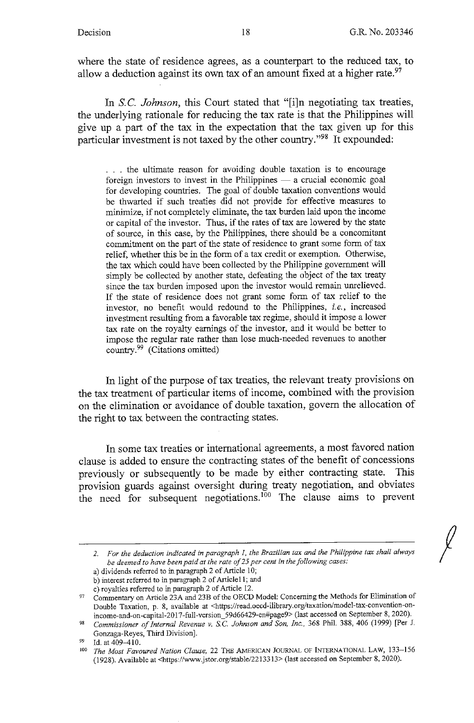where the state of residence agrees, as a counterpart to the reduced tax, to allow a deduction against its own tax of an amount fixed at a higher rate.<sup>97</sup>

In S.C. *Johnson*, this Court stated that "[i]n negotiating tax treaties, the underlying rationale for reducing the tax rate is that the Philippines will give up a part of the tax in the expectation that the tax given up for this particular investment is not taxed by the other country."98 It expounded:

. . . the ultimate reason for avoiding double taxation is to encourage foreign investors to invest in the Philippines  $-$  a crucial economic goal for developing countries. The goal of double taxation conventions would be thwarted if such treaties did not provide for effective measures to minimize, if not completely eliminate, the tax burden laid upon the income or capital of the investor. Thus, if the rates of tax are lowered by the state of source, in this case, by the Philippines, there should be a concomitant commitment on the part of the state of residence to grant some form of tax relief, whether this be in the form of a tax credit or exemption. Otherwise, the tax which could have been collected by the Philippine government will simply be collected by another state, defeating the object of the tax treaty since the tax burden imposed upon the investor would remain unrelieved. If the state of residence does not grant some form of tax relief to the investor, no benefit would redound to the Philippines, *i.e.,* increased investment resulting from a favorable tax regime, should it impose a lower tax rate on the royalty earnings of the investor, and it would be better to impose the regular rate rather than lose much-needed revenues to another country.99 (Citations omitted)

In light of the purpose of tax treaties, the relevant treaty provisions on the tax treatment of particular items of income, combined with the provision on the elimination or avoidance of double taxation, govern the allocation of the right to tax between the contracting states.

In some tax treaties or international agreements, a most favored nation clause is added to ensure the contracting states of the benefit of concessions previously or subsequently to be made by either contracting state. This provision guards against oversight during treaty negotiation, and obviates the need for subsequent negotiations.<sup>100</sup> The clause aims to prevent

- a) dividends referred to in paragraph 2 of Article IO;
- b) interest referred to in paragraph 2 of Article11; and c) royalties referred to in paragraph 2 of Article 12.

*<sup>2.</sup> For the deduction indicated in paragraph I. the Brazilian tax and the Philippine tax shall always be deemed to have been paid at the rate of 25 per cent in the following cases:* 

<sup>97</sup> Commentary on Article 23A and 23B of the OECD Model: Concerning the Methods for Elimination of Double Taxation, p. 8, available at <https://read.oecd-ilibrary.org/taxation/model-tax-convention-onincome-and-on-capital-2017-full-version\_59d66429-en#page9> (last accessed on September 8, 2020).

<sup>98</sup>*Commissioner of Internal Revenue v. S.C. Johnson and Son, Inc.,* 368 Phil. 388,406 (1999) [Per J. Gonzaga-Reyes, Third Division].

 $^{99}$  Id. at 409-410.

<sup>100</sup>*The Most Favoured Nation Clause,* 22 THE AMERICAN JOURNAL OF INTERNATIONAL LAW, 133-156 (1928). Available at <https://www.jstor.org/stable/2213313> (last accessed on September 8, 2020).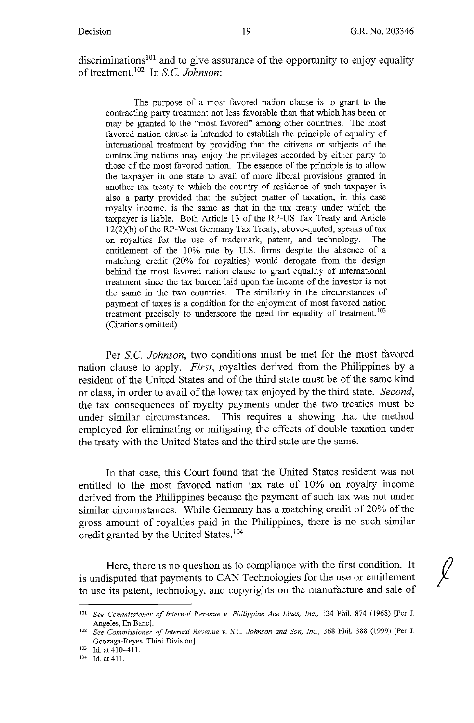discriminations<sup>101</sup> and to give assurance of the opportunity to enjoy equality of treatment.<sup>102</sup> In S.C. *Johnson*:

The purpose of a most favored nation clause is to grant to the contracting party treatment not less favorable than that which has been or may be granted to the "most favored" among other countries. The most favored nation clause is intended to establish the principle of equality of international treatment by providing that the citizens or subjects of the contracting nations may enjoy the privileges accorded by either party to those of the most favored nation. The essence of the principle is to allow the taxpayer in one state to avail of more liberal provisions granted in another tax treaty to which the country of residence of such taxpayer is also a party provided that the subject matter of taxation, in this case royalty income, is the same as that in the tax treaty under which the taxpayer is liable. Both Article 13 of the RP-US Tax Treaty and Article 12(2)(b) of the RP-West Germany Tax Treaty, above-quoted, speaks of tax on royalties for the use of trademark, patent, and technology. The entitlement of the 10% rate by U.S. firms despite the absence of a matching credit (20% for royalties) would derogate from the design behind the most favored nation clause to grant equality of international treatment since the tax burden laid upon the income of the investor is not the same in the two countries. The similarity in the circumstances of payment of taxes is a condition for the enjoyment of most favored nation treatment precisely to underscore the need for equality of treatment.<sup>103</sup> (Citations omitted)

Per *S.C. Johnson*, two conditions must be met for the most favored nation clause to apply. *First,* royalties derived from the Philippines by a resident of the United States and of the third state must be of the same kind or class, in order to avail of the lower tax enjoyed by the third state. *Second,*  the tax consequences of royalty payments under the two treaties must be under similar circumstances. This requires a showing that the method employed for eliminating or mitigating the effects of double taxation under the treaty with the United States and the third state are the same.

In that case, this Court found that the United States resident was not entitled to the most favored nation tax rate of 10% on royalty income derived from the Philippines because the payment of such tax was not under similar circumstances. While Germany has a matching credit of 20% of the gross amount of royalties paid in the Philippines, there is no such similar credit granted by the United States. <sup>104</sup>

Here, there is no question as to compliance with the first condition. It is undisputed that payments to CAN Technologies for the use or entitlement to use its patent, technology, and copyrights on the manufacture and sale of

<sup>101</sup>*See Commissioner of Internal Revenue v. Philippine Ace Lines, Inc.,* 134 Phil. 874 (1968) [Per J. Angeles, En Banc]. 102 *See Commissioner of Internal Revenue v.* S.C. *Johnson and Son, Inc.,* 368 Phil. 388 (1999) [Per J.

Gonzaga-Reyes, Third Division]. 103 Id. at 410-411. 104 **Id. at 411.**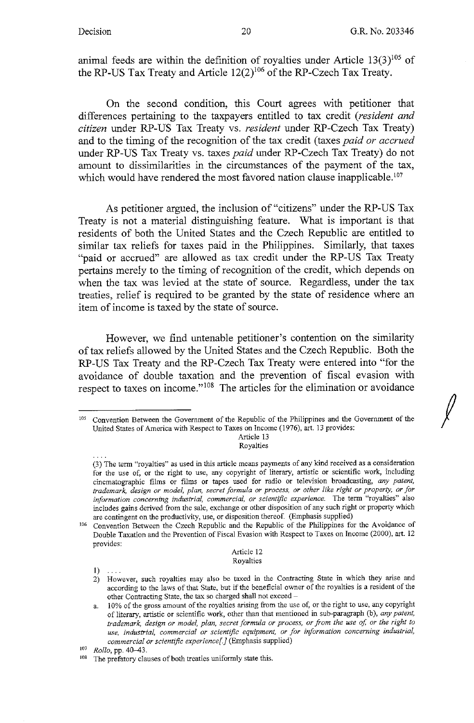animal feeds are within the definition of royalties under Article  $13(3)^{105}$  of the RP-US Tax Treaty and Article  $12(2)^{106}$  of the RP-Czech Tax Treaty.

On the second condition, this Court agrees with petitioner that differences pertaining to the taxpayers entitled to tax credit *(resident and citizen* under RP-US Tax Treaty vs. *resident* under RP-Czech Tax Treaty) and to the timing of the recognition of the tax credit (taxes *paid or accrued*  under RP-US Tax Treaty vs. taxes *paid* under RP-Czech Tax Treaty) do not amount to dissimilarities in the circumstances of the payment of the tax, which would have rendered the most favored nation clause inapplicable.<sup>107</sup>

As petitioner argued, the inclusion of "citizens" under the RP-US Tax Treaty is not a material distinguishing feature. What is important is that residents of both the United States and the Czech Republic are entitled to similar tax reliefs for taxes paid in the Philippines. Similarly, that taxes "paid or accrued" are allowed as tax credit under the RP-US Tax Treaty pertains merely to the timing of recognition of the credit, which depends on when the tax was levied at the state of source. Regardless, under the tax treaties, relief is required to be granted by the state of residence where an item of income is taxed by the state of source.

However, we find untenable petitioner's contention on the similarity of tax reliefs allowed by the United States and the Czech Republic. Both the RP-US Tax Treaty and the RP-Czech Tax Treaty were entered into "for the avoidance of double taxation and the prevention of fiscal evasion with respect to taxes on income." 108 The articles for the elimination or avoidance

Article 13 Royalties

### Article 12 Royalties

 $1) \ldots$ 

<sup>&</sup>lt;sup>105</sup> Convention Between the Government of the Republic of the Philippines and the Government of the United States of America with Respect to Taxes on Income (1976), art. 13 provides:

**<sup>(3)</sup> The term "royalties" as used in this article means payments of any kind received as a consideration**  for the use of, or the right to use, any copyright of literary, artistic or scientific work, including **cinematographic films or films or tapes used for radio or television broadcasting,** *any patent, trademark, design or model, plan, secret formula or process, or other like right or property, or for information concerning industrial, commercial, or scientific experience.* **The term "royalties" also**  includes gains derived from the sale, exchange or other disposition of any such right or property which

<sup>&</sup>lt;sup>106</sup> Convention Between the Czech Republic and the Republic of the Philippines for the Avoidance of Double Taxation and the Prevention of Fiscal Evasion with Respect to Taxes on Income (2000), art. 12 provides:

**<sup>2)</sup> However, such royalties may also be taxed in the Contracting State in which they arise and**  according to the laws of that State, but if the beneficial owner of the royalties is a resident of the **other Contracting State, the tax so charged shall not exceed** -

**a. 10% of the gross amount of the royalties arising from the use of, or the right to use, any copyright**  of literary, artistic or scientific work, other than that mentioned in sub-paragraph (b), *any patent*, trademark, design or model, plan, secret formula or process, or from the use of, or the right to *use, industrial, commercial or scientific equipment, or for information concerning industrial, commercial or scientific experience[]* (Emphasis supplied)

<sup>107</sup> *Rollo,* **pp. 40-43.** 

<sup>&</sup>lt;sup>108</sup> The prefatory clauses of both treaties uniformly state this.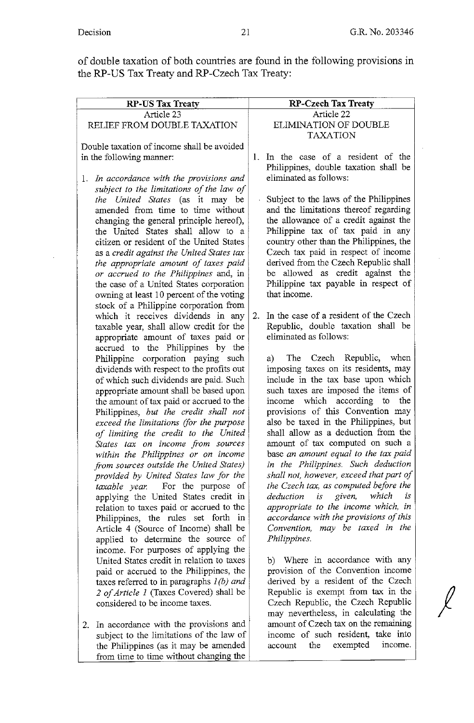*I* 

of double taxation of both countries are found in the following provisions in the RP-US Tax Treaty and RP-Czech Tax Treaty:

| <b>RP-US Tax Treaty</b>                                                          | <b>RP-Czech Tax Treaty</b>                                                 |
|----------------------------------------------------------------------------------|----------------------------------------------------------------------------|
| Article 23                                                                       | Article 22                                                                 |
| RELIEF FROM DOUBLE TAXATION                                                      | ELIMINATION OF DOUBLE                                                      |
|                                                                                  | <b>TAXATION</b>                                                            |
| Double taxation of income shall be avoided                                       |                                                                            |
|                                                                                  | In the case of a resident of the<br>$\mathbf{1}_{\mathbf{1}_{\mathbf{1}}}$ |
| in the following manner:                                                         | Philippines, double taxation shall be                                      |
|                                                                                  |                                                                            |
| In accordance with the provisions and<br>l,                                      | eliminated as follows:                                                     |
| subject to the limitations of the law of                                         |                                                                            |
| the United States (as it may be                                                  | Subject to the laws of the Philippines                                     |
| amended from time to time without                                                | and the limitations thereof regarding                                      |
| changing the general principle hereof),                                          | the allowance of a credit against the                                      |
| the United States shall allow to a                                               | Philippine tax of tax paid in any                                          |
| citizen or resident of the United States                                         | country other than the Philippines, the                                    |
| as a credit against the United States tax                                        | Czech tax paid in respect of income                                        |
| the appropriate amount of taxes paid                                             | derived from the Czech Republic shall                                      |
| or accrued to the Philippines and, in                                            | be allowed as credit against the                                           |
| the case of a United States corporation                                          | Philippine tax payable in respect of                                       |
| owning at least 10 percent of the voting                                         | that income.                                                               |
| stock of a Philippine corporation from                                           |                                                                            |
| which it receives dividends in any                                               | In the case of a resident of the Czech<br>2.                               |
| taxable year, shall allow credit for the                                         | Republic, double taxation shall be                                         |
| appropriate amount of taxes paid or                                              | eliminated as follows:                                                     |
| accrued to the Philippines by the                                                |                                                                            |
| Philippine corporation paying such                                               | Czech Republic, when<br>The<br>a)                                          |
| dividends with respect to the profits out                                        | imposing taxes on its residents, may                                       |
| of which such dividends are paid. Such                                           | include in the tax base upon which                                         |
| appropriate amount shall be based upon                                           | such taxes are imposed the items of<br>income which according to<br>the    |
| the amount of tax paid or accrued to the                                         | provisions of this Convention may                                          |
| Philippines, but the credit shall not<br>exceed the limitations (for the purpose | also be taxed in the Philippines, but                                      |
| of limiting the credit to the United                                             | shall allow as a deduction from the                                        |
| States tax on income from sources                                                | amount of tax computed on such a                                           |
| within the Philippines or on income                                              | base an amount equal to the tax paid                                       |
| from sources outside the United States)                                          | in the Philippines. Such deduction                                         |
| provided by United States law for the                                            | shall not, however, exceed that part of                                    |
| For the purpose of<br>taxable year.                                              | the Czech tax, as computed before the                                      |
| applying the United States credit in                                             | is given, which<br>is<br>deduction                                         |
| relation to taxes paid or accrued to the                                         | appropriate to the income which, in                                        |
| Philippines, the rules set forth in                                              | accordance with the provisions of this                                     |
| Article 4 (Source of Income) shall be                                            | Convention, may be taxed in the                                            |
| applied to determine the source of                                               | Philippines.                                                               |
| income. For purposes of applying the                                             |                                                                            |
| United States credit in relation to taxes                                        | b) Where in accordance with any                                            |
| paid or accrued to the Philippines, the                                          | provision of the Convention income                                         |
| taxes referred to in paragraphs $I(b)$ and                                       | derived by a resident of the Czech                                         |
| 2 of Article 1 (Taxes Covered) shall be                                          | Republic is exempt from tax in the                                         |
| considered to be income taxes.                                                   | Czech Republic, the Czech Republic                                         |
|                                                                                  | may nevertheless, in calculating the                                       |
| 2. In accordance with the provisions and                                         | amount of Czech tax on the remaining                                       |
| subject to the limitations of the law of                                         | income of such resident, take into                                         |
| the Philippines (as it may be amended                                            | exempted<br>income.<br>the<br>account                                      |

from time to time without changing the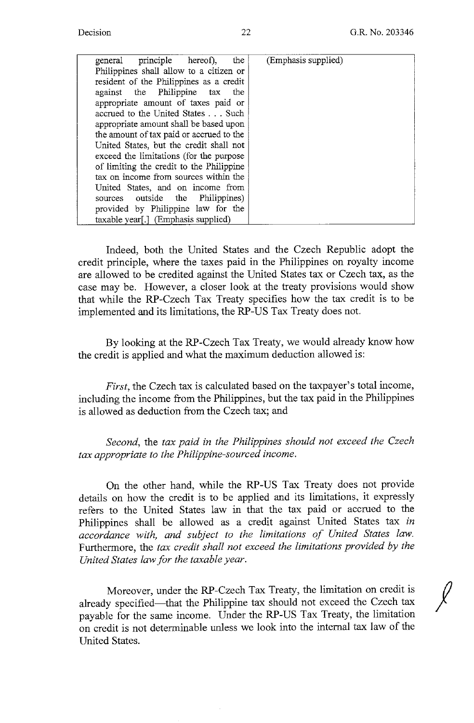*!* 

| general principle hereof),<br>the        | (Emphasis supplied) |
|------------------------------------------|---------------------|
| Philippines shall allow to a citizen or  |                     |
| resident of the Philippines as a credit  |                     |
| against the Philippine tax the           |                     |
| appropriate amount of taxes paid or      |                     |
| accrued to the United States Such        |                     |
| appropriate amount shall be based upon   |                     |
| the amount of tax paid or accrued to the |                     |
| United States, but the credit shall not  |                     |
| exceed the limitations (for the purpose  |                     |
| of limiting the credit to the Philippine |                     |
| tax on income from sources within the    |                     |
| United States, and on income from        |                     |
| sources outside the Philippines)         |                     |
| provided by Philippine law for the       |                     |
| taxable year[.] (Emphasis supplied)      |                     |

Indeed, both the United States and the Czech Republic adopt the credit principle, where the taxes paid in the Philippines on royalty income are allowed to be credited against the United States tax or Czech tax, as the case may be. However, a closer look at the treaty provisions would show that while the RP-Czech Tax Treaty specifies how the tax credit is to be implemented and its limitations, the RP-US Tax Treaty does not.

By looking at the RP-Czech Tax Treaty, we would already know how the credit is applied and what the maximum deduction allowed is:

*First,* the Czech tax is calculated based on the taxpayer's total income, including the income from the Philippines, but the tax paid in the Philippines is allowed as deduction from the Czech tax; and

*Second,* the *tax paid in the Philippines should not exceed the Czech tax appropriate to the Philippine-sourced income.* 

On the other hand, while the RP-US Tax Treaty does not provide details on how the credit is to be applied and its limitations, it expressly refers to the United States law in that the tax paid or accrued to the Philippines shall be allowed as a credit against United States tax *in accordance with, and subject to the limitations of United States law.*  Furthermore, the *tax credit shall not exceed the limitations provided by the United States law for the taxable year.* 

Moreover, under the RP-Czech Tax Treaty, the limitation on credit is already specified-that the Philippine tax should not exceed the Czech tax payable for the same income. Under the RP-US Tax Treaty, the limitation on credit is not determinable unless we look into the internal tax law of the United States.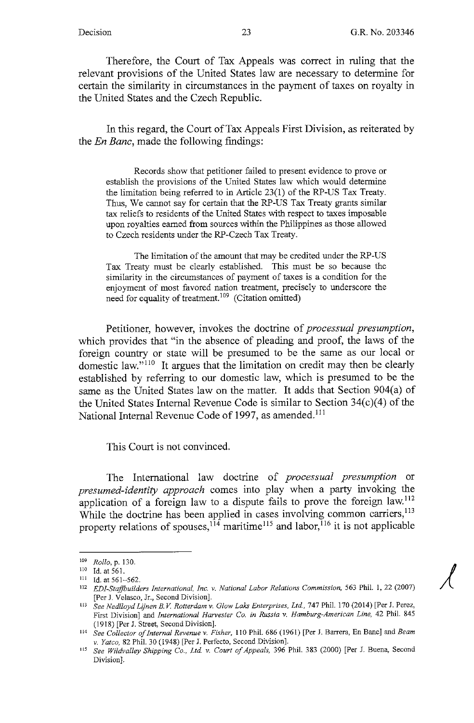Therefore, the Court of Tax Appeals was correct in ruling that the relevant provisions of the United States law are necessary to determine for certain the similarity in circumstances in the payment of taxes on royalty in the United States and the Czech Republic.

In this regard, the Court of Tax Appeals First Division, as reiterated by the *En Banc,* made the following findings:

Records show that petitioner failed to present evidence to prove or establish the provisions of the United States law which would determine the limitation being referred to in Article 23(1) of the RP-US Tax Treaty. Thus, We cannot say for certain that the RP-US Tax Treaty grants similar tax reliefs to residents of the United States with respect to taxes imposable upon royalties earned from sources within the Philippines as those allowed to Czech residents under the RP-Czech Tax Treaty.

The limitation of the amount that may be credited under the RP-US Tax Treaty must be clearly established. This must be so because the similarity in the circumstances of payment of taxes is a condition for the enjoyment of most favored nation treatment, precisely to underscore the need for equality of treatment.  $109$  (Citation omitted)

Petitioner, however, invokes the doctrine of *processual presumption,*  which provides that "in the absence of pleading and proof, the laws of the foreign country or state will be presumed to be the same as our local or domestic law." 110 It argues that the limitation on credit may then be clearly established by referring to our domestic law, which is presumed to be the same as the United States law on the matter. It adds that Section 904(a) of the United States Internal Revenue Code is similar to Section 34(c)(4) of the National Internal Revenue Code of 1997, as amended. <sup>111</sup>

This Court is not convinced.

The International law doctrine of *processual presumption* or *presumed-identity approach* comes into play when a party invoking the application of a foreign law to a dispute fails to prove the foreign law.<sup>112</sup> While the doctrine has been applied in cases involving common carriers,<sup>113</sup> property relations of spouses,  $114$  maritime<sup>115</sup> and labor,  $116$  it is not applicable

<sup>109</sup> *Rollo,* p. 130. 110 Id. at 561.

<sup>111</sup> Id. at 561-562.

<sup>112</sup>*EDI-StajJbuilders International, Inc. v. National labor Relations Commission,* 563 Phil. I, 22 (2007) [Per J. Velasco, Jr., Second Division].

<sup>113</sup>*See Nedlloyd Lijnen B. V Rotterdam v. Glow Laks Enterprises, Ltd,* 747 Phil. 170 (2014) [Per J. Perez, First Division] and *International Harvester Co. in Russia v. Hamburg-American Line,* 42 Phil. 845

<sup>(1918) [</sup>Per J. Street, Second Division]. 114 *See Collector of Internal Revenue v. Fisher,* I IO Phil. 686 (I 961) [Per J. Barrera, En Banc J and *Beam* 

*v. Yatco,* 82 Phil. 30 (1948) [Per J. Perfecto, Second Division]. 115 *See Wildvalley Shipping Co., Ltd v. Court of Appeals,* 396 Phil. 383 (2000) [Per J. Buena, Second Division].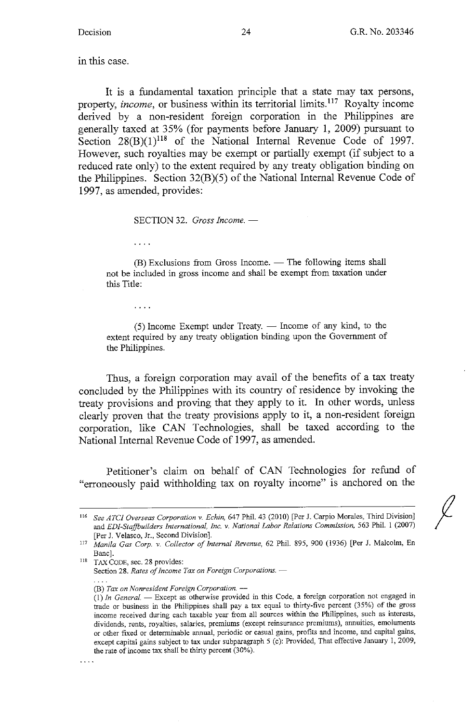in this case.

It is a fundamental taxation principle that a state may tax persons, property, *income,* or business within its territorial limits. 117 Royalty income derived by a non-resident foreign corporation in the Philippines are generally taxed at 35% (for payments before January 1, 2009) pursuant to Section  $28(B)(1)^{118}$  of the National Internal Revenue Code of 1997. However, such royalties may be exempt or partially exempt (if subject to a reduced rate only) to the extent required by any treaty obligation binding on the Philippines. Section 32(B)(5) of the National Internal Revenue Code of 1997, as amended, provides:

SECTION 32. *Gross Income*. -

 $\ldots$  .

 $(B)$  Exclusions from Gross Income.  $\frac{1}{B}$  The following items shall not be included in gross income and shall be exempt from taxation under this Title:

. . . .

 $(5)$  Income Exempt under Treaty.  $\frac{1}{10}$  Income of any kind, to the extent required by any treaty obligation binding upon the Government of the Philippines.

Thus, a foreign corporation may avail of the benefits of a tax treaty concluded by the Philippines with its country of residence by invoking the treaty provisions and proving that they apply to it. In other words, unless clearly proven that the treaty provisions apply to it, a non-resident foreign corporation, like CAN Technologies, shall be taxed according to the National Internal Revenue Code of 1997, as amended.

Petitioner's claim on behalf of CAN Technologies for refund of "erroneously paid withholding tax on royalty income" is anchored on the

Section 28. *Rates of Income Tax on Foreign Corporations.* -

**(B)** *Tax on Nonresident Foreign Corporation.* -

. . . .

<sup>116</sup> See *ATC/ Overseas Corporation v. Echin,* 647 Phil. 43 (2010) [Per J. Carpio Morales, Third Division] and *EDJ-Stajjbuilders International, Inc. v. National Labor Relations Commission,* 563 Phil. I (2007) [Per J. Velasco, Jr., Second Division]. 117 *Manila Gas Corp. v. Collector of Internal Revenue,* 62 Phil. 895, 900 (1936) [Per J. Malcolm, En

Banc].<br><sup>118</sup> TAX CODE, sec. 28 provides:

<sup>(1)</sup> *In General.* - Except as otherwise provided in this Code, a foreign corporation not engaged in trade or business in the Philippines shall pay a tax equal to thirty-five percent (35%) of the gross **income received during each taxable year from all sources within the Philippines, such as interests, dividends, rents, royalties, salaries, premiums (except reinsurance premiums), annuities, emoluments or other fixed or determinable annual, periodic or casual gains, profits and income, and capital gains,**  except capital gains subject to tax under subparagraph *5* (c): Provided, That effective January l, 2009, the rate of income tax shall be thirty percent (30%).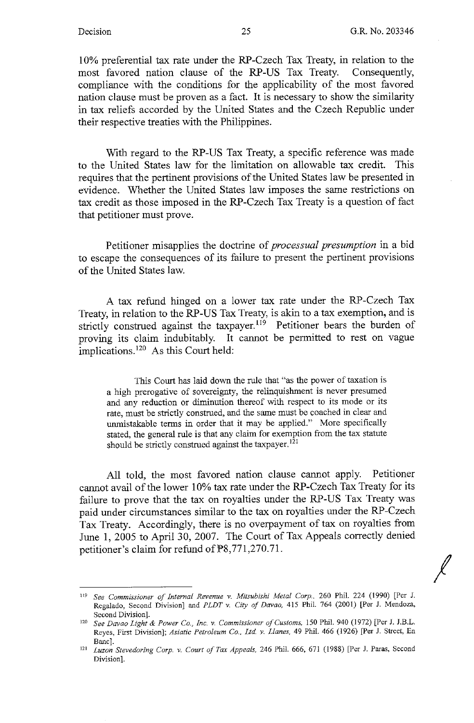*I* 

10% preferential tax rate under the RP-Czech Tax Treaty, in relation to the most favored nation clause of the **RP-US** Tax Treaty. Consequently, compliance with the conditions for the applicability of the most favored nation clause must be proven as a fact. It is necessary to show the similarity in tax reliefs accorded by the United States and the Czech Republic under their respective treaties with the Philippines.

With regard to the RP-US Tax Treaty, a specific reference was made to the United States law for the limitation on allowable tax credit. This requires that the pertinent provisions of the United States law be presented in evidence. Whether the United States law imposes the same restrictions on tax credit as those imposed in the RP-Czech Tax Treaty is a question of fact that petitioner must prove.

Petitioner misapplies the doctrine of *processual presumption* in a bid to escape the consequences of its failure to present the pertinent provisions of the United States law.

A tax refund hinged on a lower tax rate under the RP-Czech Tax Treaty, in relation to the RP-US Tax Treaty, is akin to a tax exemption, and is strictly construed against the taxpayer.<sup>119</sup> Petitioner bears the burden of proving its claim indubitably. It cannot be permitted to rest on vague implications.<sup>120</sup> As this Court held:

This Court has laid down the rule that "as the power of taxation is a high prerogative of sovereignty, the relinquishment is never presumed and any reduction or diminution thereof with respect to its mode or its rate, must be strictly construed, and the same must be coached in clear and unmistakable terms in order that it may be applied." More specifically stated, the general rule is that any claim for exemption from the tax statute should be strictly construed against the taxpayer.<sup>121</sup>

All told, the most favored nation clause cannot apply. Petitioner cannot avail of the lower 10% tax rate under the RP-Czech Tax Treaty for its failure to prove that the tax on royalties under the RP-US Tax Treaty was paid under circumstances similar to the tax on royalties under the RP-Czech Tax Treaty. Accordingly, there is no overpayment of tax on royalties from June 1, 2005 to April 30, 2007. The Court of Tax Appeals correctly denied petitioner's claim for refund of PS,771,270.71.

<sup>119</sup> See *Commissioner of Internal Revenue v. Mitsubishi Metal Corp..* 260 Phil. 224 (1990) [Per J. Regalado, Second Division] and *PLDT v. City of Davao,* 415 Phil. 764 (2001) [Per J. Mendoza,

Second Division]. 120 *See Davao Light & Power Co., Inc. v. Commissioner of Customs,* 150 Phil. 940 (]972) [Per J. J.B.L. Reyes, First Division]; *Asiatic Petroleum Co., Ltd v. Llanes,* 49 Phil. 466 (1926) [Per J. Street, En

Banc]. 121 *Luzon Stevedoring Corp. v. Court of Tax Appeals,* 246 Phil. 666, 671 (1988) [Per J. Paras, Second Division].